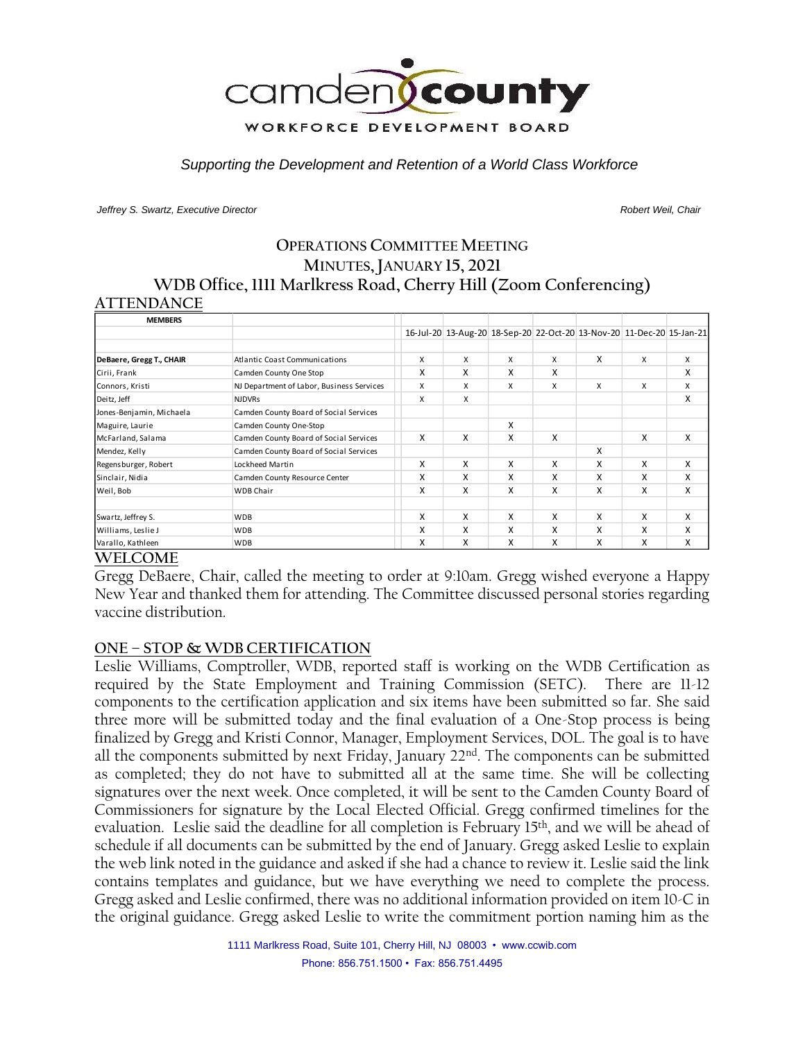

*Supporting the Development and Retention of a World Class Workforce*

*Jeffrey S. Swartz, Executive Director Robert Weil, Chair* 

# **OPERATIONS COMMITTEE MEETING MINUTES, JANUARY 15, 2021 WDB Office, 1111 Marlkress Road, Cherry Hill (Zoom Conferencing)**

#### **ATTENDANCE**

| <b>MEMBERS</b>           |                                           |   |   |   |   |                                                                       |   |   |
|--------------------------|-------------------------------------------|---|---|---|---|-----------------------------------------------------------------------|---|---|
|                          |                                           |   |   |   |   | 16-Jul-20 13-Aug-20 18-Sep-20 22-Oct-20 13-Nov-20 11-Dec-20 15-Jan-21 |   |   |
| DeBaere, Gregg T., CHAIR | Atlantic Coast Communications             | X | X | X | x | X                                                                     | X | x |
| Cirii, Frank             | Camden County One Stop                    | X | X | X | X |                                                                       |   | X |
| Connors, Kristi          | NJ Department of Labor, Business Services | X | X | X | X | X                                                                     | X | X |
| Deitz, Jeff              | <b>NJDVRs</b>                             | X | X |   |   |                                                                       |   | X |
| Jones-Benjamin, Michaela | Camden County Board of Social Services    |   |   |   |   |                                                                       |   |   |
| Maguire, Laurie          | Camden County One-Stop                    |   |   | X |   |                                                                       |   |   |
| McFarland, Salama        | Camden County Board of Social Services    | X | X | X | X |                                                                       | X | X |
| Mendez, Kelly            | Camden County Board of Social Services    |   |   |   |   | X                                                                     |   |   |
| Regensburger, Robert     | Lockheed Martin                           | X | X | X | X | X                                                                     | X | X |
| Sinclair, Nidia          | Camden County Resource Center             | X | x | X | x | X                                                                     | x | X |
| Weil, Bob                | <b>WDB Chair</b>                          | X | x | X | X | X                                                                     | X | X |
| Swartz, Jeffrey S.       | <b>WDB</b>                                | X | X | X | X | X                                                                     | X | X |
| Williams, Leslie J       | <b>WDB</b>                                | X | X | X | X | X                                                                     | X | X |
| Varallo, Kathleen        | <b>WDB</b>                                | X | X | X | X | X                                                                     | X | X |

#### **WELCOME**

Gregg DeBaere, Chair, called the meeting to order at 9:10am. Gregg wished everyone a Happy New Year and thanked them for attending. The Committee discussed personal stories regarding vaccine distribution.

### **ONE – STOP & WDB CERTIFICATION**

Leslie Williams, Comptroller, WDB, reported staff is working on the WDB Certification as required by the State Employment and Training Commission (SETC). There are 11-12 components to the certification application and six items have been submitted so far. She said three more will be submitted today and the final evaluation of a One-Stop process is being finalized by Gregg and Kristi Connor, Manager, Employment Services, DOL. The goal is to have all the components submitted by next Friday, January 22nd. The components can be submitted as completed; they do not have to submitted all at the same time. She will be collecting signatures over the next week. Once completed, it will be sent to the Camden County Board of Commissioners for signature by the Local Elected Official. Gregg confirmed timelines for the evaluation. Leslie said the deadline for all completion is February 15th, and we will be ahead of schedule if all documents can be submitted by the end of January. Gregg asked Leslie to explain the web link noted in the guidance and asked if she had a chance to review it. Leslie said the link contains templates and guidance, but we have everything we need to complete the process. Gregg asked and Leslie confirmed, there was no additional information provided on item 10-C in the original guidance. Gregg asked Leslie to write the commitment portion naming him as the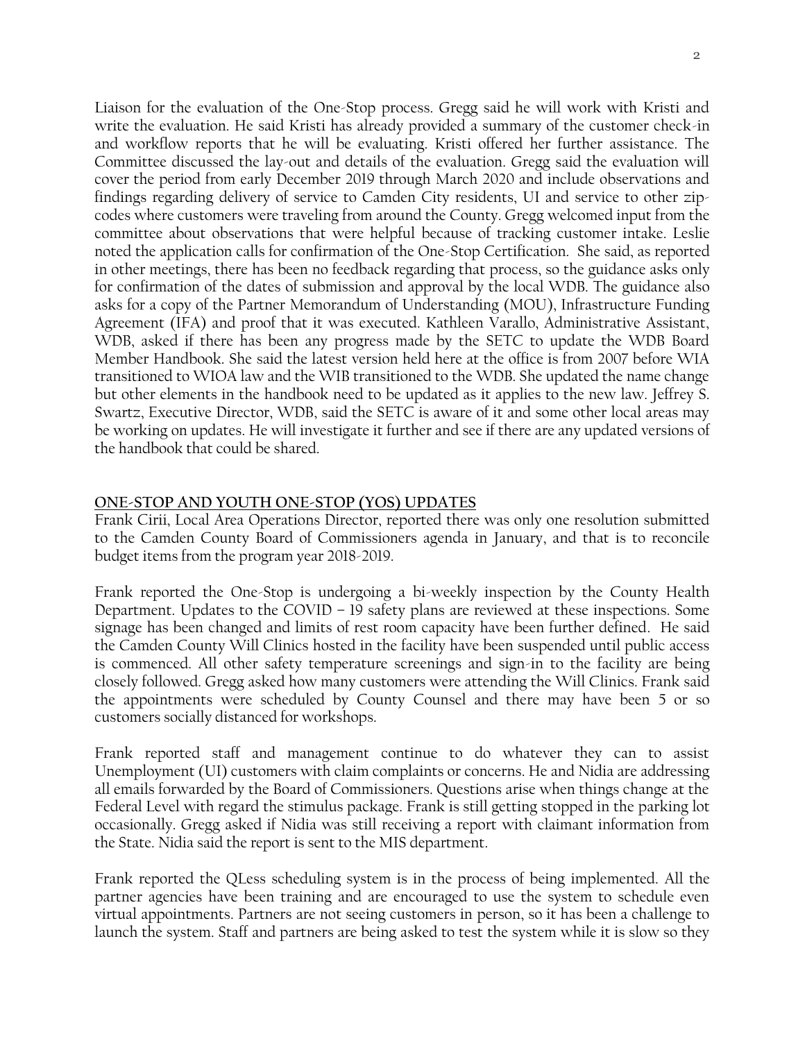Liaison for the evaluation of the One-Stop process. Gregg said he will work with Kristi and write the evaluation. He said Kristi has already provided a summary of the customer check-in and workflow reports that he will be evaluating. Kristi offered her further assistance. The Committee discussed the lay-out and details of the evaluation. Gregg said the evaluation will cover the period from early December 2019 through March 2020 and include observations and findings regarding delivery of service to Camden City residents, UI and service to other zipcodes where customers were traveling from around the County. Gregg welcomed input from the committee about observations that were helpful because of tracking customer intake. Leslie noted the application calls for confirmation of the One-Stop Certification. She said, as reported in other meetings, there has been no feedback regarding that process, so the guidance asks only for confirmation of the dates of submission and approval by the local WDB. The guidance also asks for a copy of the Partner Memorandum of Understanding (MOU), Infrastructure Funding Agreement (IFA) and proof that it was executed. Kathleen Varallo, Administrative Assistant, WDB, asked if there has been any progress made by the SETC to update the WDB Board Member Handbook. She said the latest version held here at the office is from 2007 before WIA transitioned to WIOA law and the WIB transitioned to the WDB. She updated the name change but other elements in the handbook need to be updated as it applies to the new law. Jeffrey S. Swartz, Executive Director, WDB, said the SETC is aware of it and some other local areas may be working on updates. He will investigate it further and see if there are any updated versions of the handbook that could be shared.

#### **ONE-STOP AND YOUTH ONE-STOP (YOS) UPDATES**

Frank Cirii, Local Area Operations Director, reported there was only one resolution submitted to the Camden County Board of Commissioners agenda in January, and that is to reconcile budget items from the program year 2018-2019.

Frank reported the One-Stop is undergoing a bi-weekly inspection by the County Health Department. Updates to the COVID – 19 safety plans are reviewed at these inspections. Some signage has been changed and limits of rest room capacity have been further defined. He said the Camden County Will Clinics hosted in the facility have been suspended until public access is commenced. All other safety temperature screenings and sign-in to the facility are being closely followed. Gregg asked how many customers were attending the Will Clinics. Frank said the appointments were scheduled by County Counsel and there may have been 5 or so customers socially distanced for workshops.

Frank reported staff and management continue to do whatever they can to assist Unemployment (UI) customers with claim complaints or concerns. He and Nidia are addressing all emails forwarded by the Board of Commissioners. Questions arise when things change at the Federal Level with regard the stimulus package. Frank is still getting stopped in the parking lot occasionally. Gregg asked if Nidia was still receiving a report with claimant information from the State. Nidia said the report is sent to the MIS department.

Frank reported the QLess scheduling system is in the process of being implemented. All the partner agencies have been training and are encouraged to use the system to schedule even virtual appointments. Partners are not seeing customers in person, so it has been a challenge to launch the system. Staff and partners are being asked to test the system while it is slow so they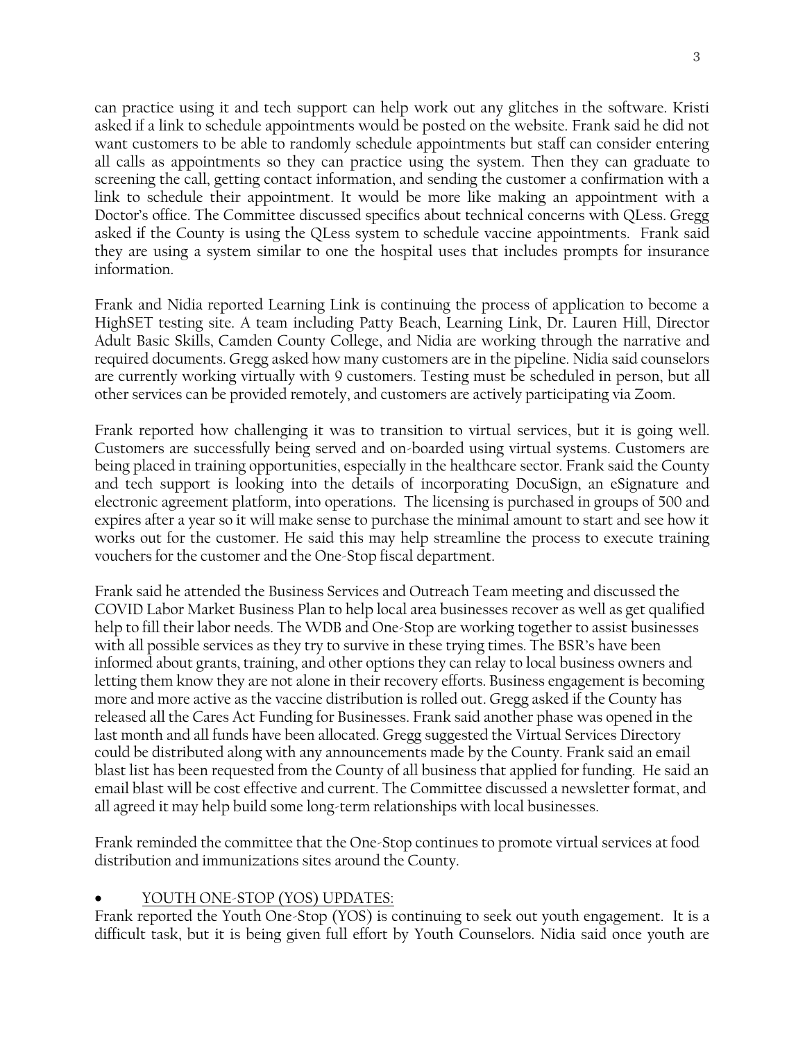can practice using it and tech support can help work out any glitches in the software. Kristi asked if a link to schedule appointments would be posted on the website. Frank said he did not want customers to be able to randomly schedule appointments but staff can consider entering all calls as appointments so they can practice using the system. Then they can graduate to screening the call, getting contact information, and sending the customer a confirmation with a link to schedule their appointment. It would be more like making an appointment with a Doctor's office. The Committee discussed specifics about technical concerns with QLess. Gregg asked if the County is using the QLess system to schedule vaccine appointments. Frank said they are using a system similar to one the hospital uses that includes prompts for insurance information.

Frank and Nidia reported Learning Link is continuing the process of application to become a HighSET testing site. A team including Patty Beach, Learning Link, Dr. Lauren Hill, Director Adult Basic Skills, Camden County College, and Nidia are working through the narrative and required documents. Gregg asked how many customers are in the pipeline. Nidia said counselors are currently working virtually with 9 customers. Testing must be scheduled in person, but all other services can be provided remotely, and customers are actively participating via Zoom.

Frank reported how challenging it was to transition to virtual services, but it is going well. Customers are successfully being served and on-boarded using virtual systems. Customers are being placed in training opportunities, especially in the healthcare sector. Frank said the County and tech support is looking into the details of incorporating DocuSign, an eSignature and electronic agreement platform, into operations. The licensing is purchased in groups of 500 and expires after a year so it will make sense to purchase the minimal amount to start and see how it works out for the customer. He said this may help streamline the process to execute training vouchers for the customer and the One-Stop fiscal department.

Frank said he attended the Business Services and Outreach Team meeting and discussed the COVID Labor Market Business Plan to help local area businesses recover as well as get qualified help to fill their labor needs. The WDB and One-Stop are working together to assist businesses with all possible services as they try to survive in these trying times. The BSR's have been informed about grants, training, and other options they can relay to local business owners and letting them know they are not alone in their recovery efforts. Business engagement is becoming more and more active as the vaccine distribution is rolled out. Gregg asked if the County has released all the Cares Act Funding for Businesses. Frank said another phase was opened in the last month and all funds have been allocated. Gregg suggested the Virtual Services Directory could be distributed along with any announcements made by the County. Frank said an email blast list has been requested from the County of all business that applied for funding. He said an email blast will be cost effective and current. The Committee discussed a newsletter format, and all agreed it may help build some long-term relationships with local businesses.

Frank reminded the committee that the One-Stop continues to promote virtual services at food distribution and immunizations sites around the County.

# • YOUTH ONE-STOP (YOS) UPDATES:

Frank reported the Youth One-Stop (YOS) is continuing to seek out youth engagement. It is a difficult task, but it is being given full effort by Youth Counselors. Nidia said once youth are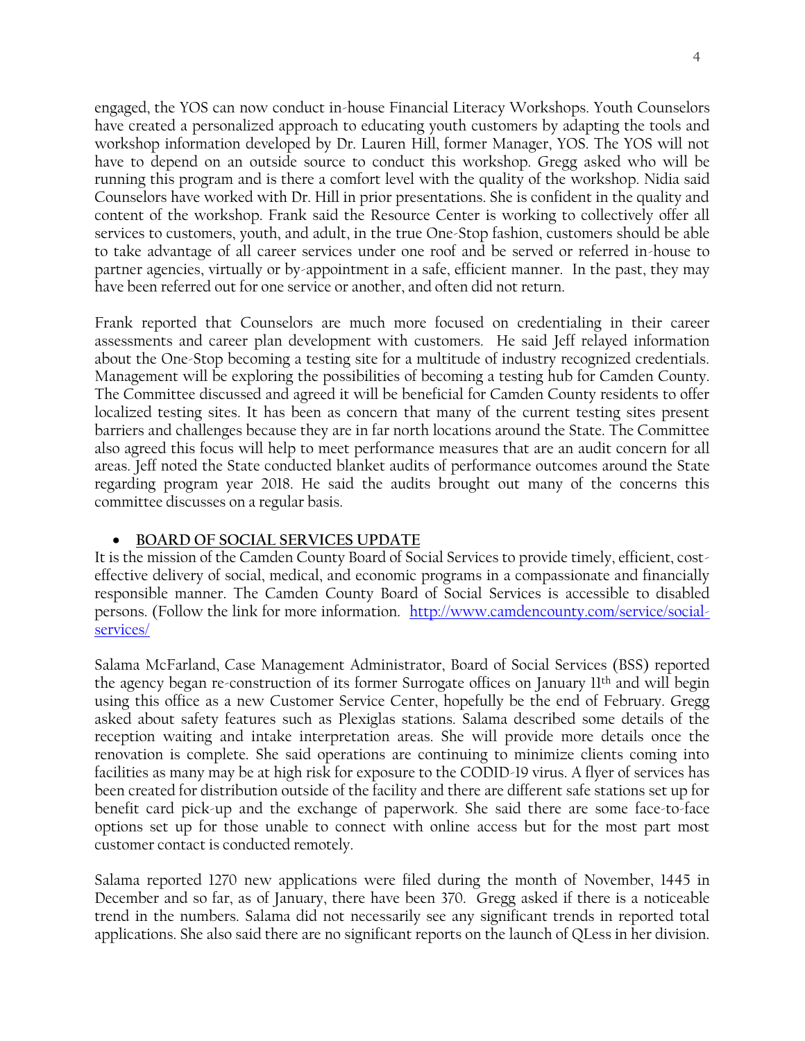engaged, the YOS can now conduct in-house Financial Literacy Workshops. Youth Counselors have created a personalized approach to educating youth customers by adapting the tools and workshop information developed by Dr. Lauren Hill, former Manager, YOS. The YOS will not have to depend on an outside source to conduct this workshop. Gregg asked who will be running this program and is there a comfort level with the quality of the workshop. Nidia said Counselors have worked with Dr. Hill in prior presentations. She is confident in the quality and content of the workshop. Frank said the Resource Center is working to collectively offer all services to customers, youth, and adult, in the true One-Stop fashion, customers should be able to take advantage of all career services under one roof and be served or referred in-house to partner agencies, virtually or by-appointment in a safe, efficient manner. In the past, they may have been referred out for one service or another, and often did not return.

Frank reported that Counselors are much more focused on credentialing in their career assessments and career plan development with customers. He said Jeff relayed information about the One-Stop becoming a testing site for a multitude of industry recognized credentials. Management will be exploring the possibilities of becoming a testing hub for Camden County. The Committee discussed and agreed it will be beneficial for Camden County residents to offer localized testing sites. It has been as concern that many of the current testing sites present barriers and challenges because they are in far north locations around the State. The Committee also agreed this focus will help to meet performance measures that are an audit concern for all areas. Jeff noted the State conducted blanket audits of performance outcomes around the State regarding program year 2018. He said the audits brought out many of the concerns this committee discusses on a regular basis.

### • **BOARD OF SOCIAL SERVICES UPDATE**

It is the mission of the Camden County Board of Social Services to provide timely, efficient, costeffective delivery of social, medical, and economic programs in a compassionate and financially responsible manner. The Camden County Board of Social Services is accessible to disabled persons. (Follow the link for more information. [http://www.camdencounty.com/service/social](http://www.camdencounty.com/service/social-services/)[services/](http://www.camdencounty.com/service/social-services/)

Salama McFarland, Case Management Administrator, Board of Social Services (BSS) reported the agency began re-construction of its former Surrogate offices on January 11th and will begin using this office as a new Customer Service Center, hopefully be the end of February. Gregg asked about safety features such as Plexiglas stations. Salama described some details of the reception waiting and intake interpretation areas. She will provide more details once the renovation is complete. She said operations are continuing to minimize clients coming into facilities as many may be at high risk for exposure to the CODID-19 virus. A flyer of services has been created for distribution outside of the facility and there are different safe stations set up for benefit card pick-up and the exchange of paperwork. She said there are some face-to-face options set up for those unable to connect with online access but for the most part most customer contact is conducted remotely.

Salama reported 1270 new applications were filed during the month of November, 1445 in December and so far, as of January, there have been 370. Gregg asked if there is a noticeable trend in the numbers. Salama did not necessarily see any significant trends in reported total applications. She also said there are no significant reports on the launch of QLess in her division.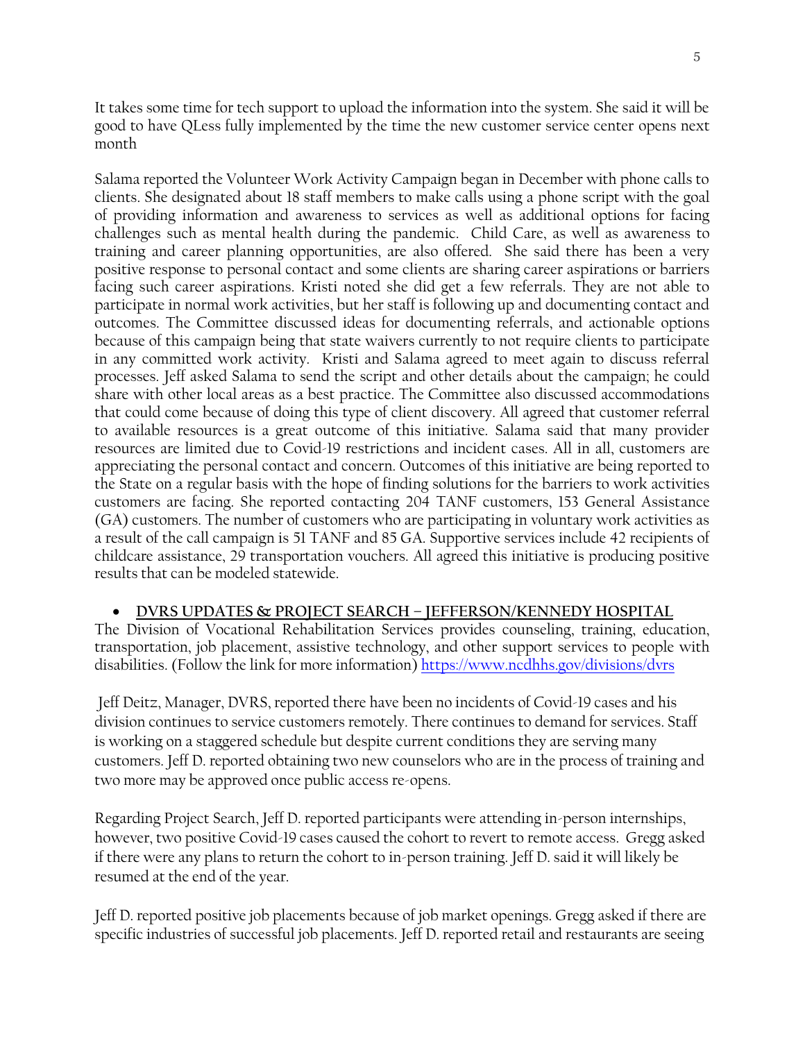It takes some time for tech support to upload the information into the system. She said it will be good to have QLess fully implemented by the time the new customer service center opens next month

Salama reported the Volunteer Work Activity Campaign began in December with phone calls to clients. She designated about 18 staff members to make calls using a phone script with the goal of providing information and awareness to services as well as additional options for facing challenges such as mental health during the pandemic. Child Care, as well as awareness to training and career planning opportunities, are also offered. She said there has been a very positive response to personal contact and some clients are sharing career aspirations or barriers facing such career aspirations. Kristi noted she did get a few referrals. They are not able to participate in normal work activities, but her staff is following up and documenting contact and outcomes. The Committee discussed ideas for documenting referrals, and actionable options because of this campaign being that state waivers currently to not require clients to participate in any committed work activity. Kristi and Salama agreed to meet again to discuss referral processes. Jeff asked Salama to send the script and other details about the campaign; he could share with other local areas as a best practice. The Committee also discussed accommodations that could come because of doing this type of client discovery. All agreed that customer referral to available resources is a great outcome of this initiative. Salama said that many provider resources are limited due to Covid-19 restrictions and incident cases. All in all, customers are appreciating the personal contact and concern. Outcomes of this initiative are being reported to the State on a regular basis with the hope of finding solutions for the barriers to work activities customers are facing. She reported contacting 204 TANF customers, 153 General Assistance (GA) customers. The number of customers who are participating in voluntary work activities as a result of the call campaign is 51 TANF and 85 GA. Supportive services include 42 recipients of childcare assistance, 29 transportation vouchers. All agreed this initiative is producing positive results that can be modeled statewide.

# • **DVRS UPDATES & PROJECT SEARCH – JEFFERSON/KENNEDY HOSPITAL**

The Division of Vocational Rehabilitation Services provides counseling, training, education, transportation, job placement, assistive technology, and other support services to people with disabilities. (Follow the link for more information) <https://www.ncdhhs.gov/divisions/dvrs>

Jeff Deitz, Manager, DVRS, reported there have been no incidents of Covid-19 cases and his division continues to service customers remotely. There continues to demand for services. Staff is working on a staggered schedule but despite current conditions they are serving many customers. Jeff D. reported obtaining two new counselors who are in the process of training and two more may be approved once public access re-opens.

Regarding Project Search, Jeff D. reported participants were attending in-person internships, however, two positive Covid-19 cases caused the cohort to revert to remote access. Gregg asked if there were any plans to return the cohort to in-person training. Jeff D. said it will likely be resumed at the end of the year.

Jeff D. reported positive job placements because of job market openings. Gregg asked if there are specific industries of successful job placements. Jeff D. reported retail and restaurants are seeing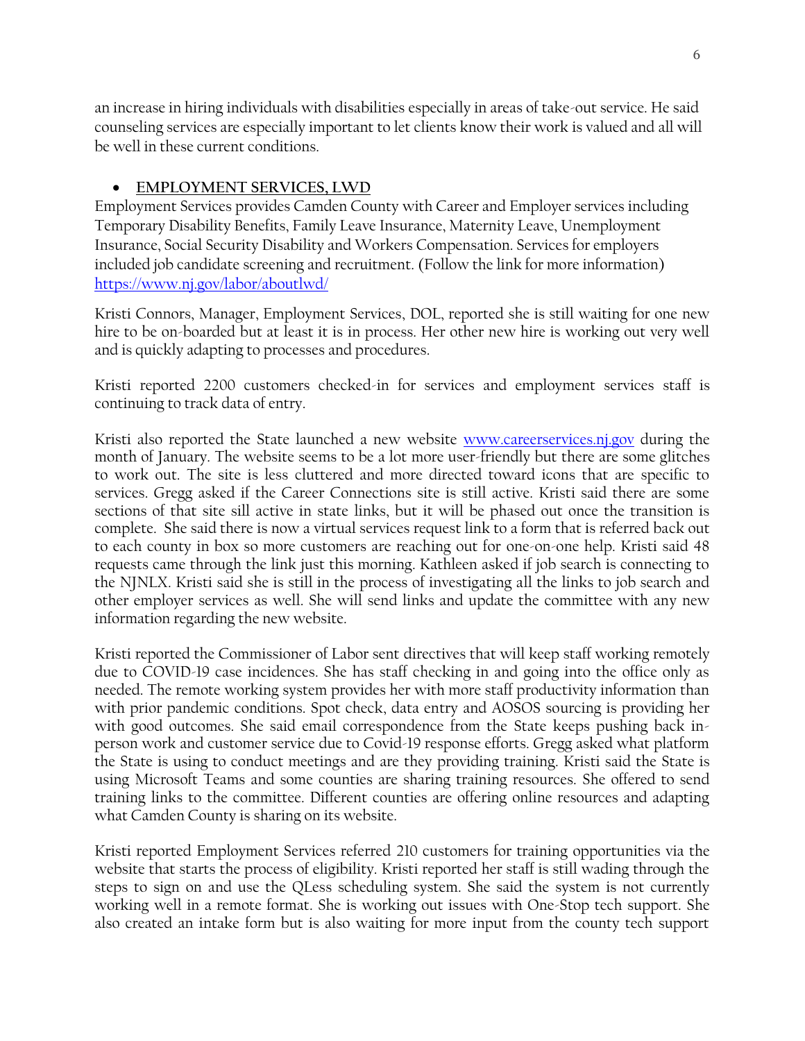an increase in hiring individuals with disabilities especially in areas of take-out service. He said counseling services are especially important to let clients know their work is valued and all will be well in these current conditions.

## • **EMPLOYMENT SERVICES, LWD**

Employment Services provides Camden County with Career and Employer services including Temporary Disability Benefits, Family Leave Insurance, Maternity Leave, Unemployment Insurance, Social Security Disability and Workers Compensation. Services for employers included job candidate screening and recruitment. (Follow the link for more information) <https://www.nj.gov/labor/aboutlwd/>

Kristi Connors, Manager, Employment Services, DOL, reported she is still waiting for one new hire to be on-boarded but at least it is in process. Her other new hire is working out very well and is quickly adapting to processes and procedures.

Kristi reported 2200 customers checked-in for services and employment services staff is continuing to track data of entry.

Kristi also reported the State launched a new website [www.careerservices.nj.gov](http://www.careerservices.nj.gov/) during the month of January. The website seems to be a lot more user-friendly but there are some glitches to work out. The site is less cluttered and more directed toward icons that are specific to services. Gregg asked if the Career Connections site is still active. Kristi said there are some sections of that site sill active in state links, but it will be phased out once the transition is complete. She said there is now a virtual services request link to a form that is referred back out to each county in box so more customers are reaching out for one-on-one help. Kristi said 48 requests came through the link just this morning. Kathleen asked if job search is connecting to the NJNLX. Kristi said she is still in the process of investigating all the links to job search and other employer services as well. She will send links and update the committee with any new information regarding the new website.

Kristi reported the Commissioner of Labor sent directives that will keep staff working remotely due to COVID-19 case incidences. She has staff checking in and going into the office only as needed. The remote working system provides her with more staff productivity information than with prior pandemic conditions. Spot check, data entry and AOSOS sourcing is providing her with good outcomes. She said email correspondence from the State keeps pushing back inperson work and customer service due to Covid-19 response efforts. Gregg asked what platform the State is using to conduct meetings and are they providing training. Kristi said the State is using Microsoft Teams and some counties are sharing training resources. She offered to send training links to the committee. Different counties are offering online resources and adapting what Camden County is sharing on its website.

Kristi reported Employment Services referred 210 customers for training opportunities via the website that starts the process of eligibility. Kristi reported her staff is still wading through the steps to sign on and use the QLess scheduling system. She said the system is not currently working well in a remote format. She is working out issues with One-Stop tech support. She also created an intake form but is also waiting for more input from the county tech support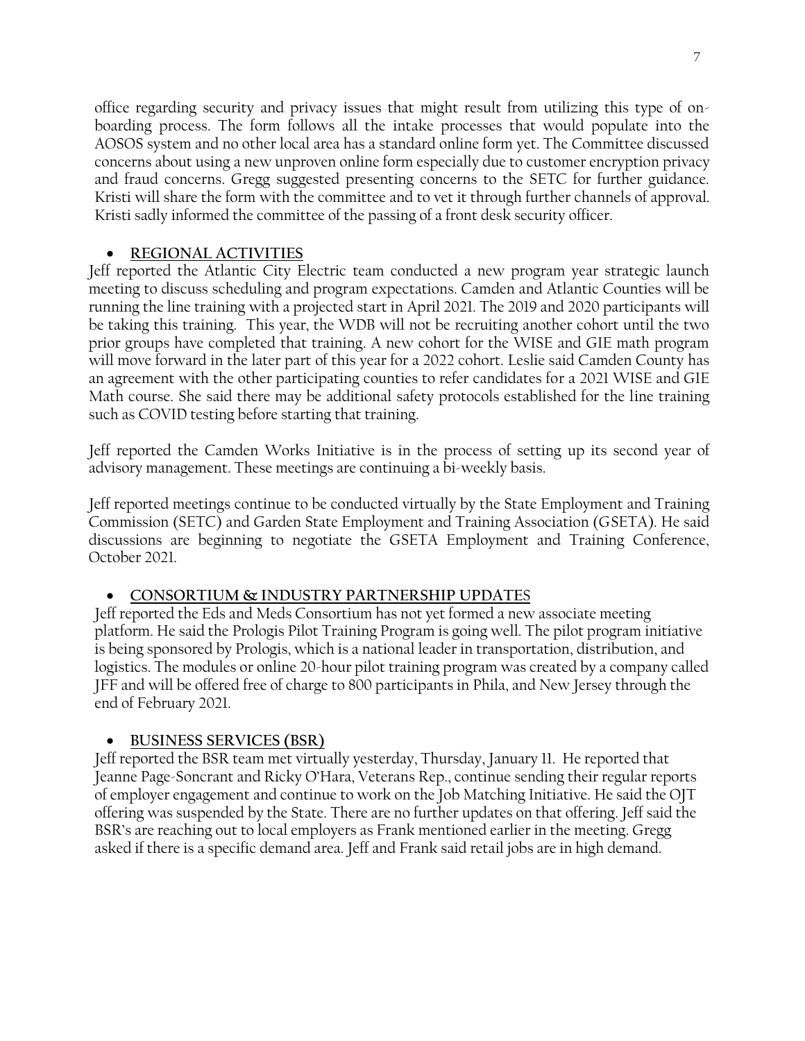office regarding security and privacy issues that might result from utilizing this type of onboarding process. The form follows all the intake processes that would populate into the AOSOS system and no other local area has a standard online form yet. The Committee discussed concerns about using a new unproven online form especially due to customer encryption privacy and fraud concerns. Gregg suggested presenting concerns to the SETC for further guidance. Kristi will share the form with the committee and to vet it through further channels of approval. Kristi sadly informed the committee of the passing of a front desk security officer.

# • **REGIONAL ACTIVITIES**

Jeff reported the Atlantic City Electric team conducted a new program year strategic launch meeting to discuss scheduling and program expectations. Camden and Atlantic Counties will be running the line training with a projected start in April 2021. The 2019 and 2020 participants will be taking this training. This year, the WDB will not be recruiting another cohort until the two prior groups have completed that training. A new cohort for the WISE and GIE math program will move forward in the later part of this year for a 2022 cohort. Leslie said Camden County has an agreement with the other participating counties to refer candidates for a 2021 WISE and GIE Math course. She said there may be additional safety protocols established for the line training such as COVID testing before starting that training.

Jeff reported the Camden Works Initiative is in the process of setting up its second year of advisory management. These meetings are continuing a bi-weekly basis.

Jeff reported meetings continue to be conducted virtually by the State Employment and Training Commission (SETC) and Garden State Employment and Training Association (GSETA). He said discussions are beginning to negotiate the GSETA Employment and Training Conference, October 2021.

# • **CONSORTIUM & INDUSTRY PARTNERSHIP UPDATE**S

Jeff reported the Eds and Meds Consortium has not yet formed a new associate meeting platform. He said the Prologis Pilot Training Program is going well. The pilot program initiative is being sponsored by Prologis, which is a national leader in transportation, distribution, and logistics. The modules or online 20-hour pilot training program was created by a company called JFF and will be offered free of charge to 800 participants in Phila, and New Jersey through the end of February 2021.

# • **BUSINESS SERVICES (BSR)**

Jeff reported the BSR team met virtually yesterday, Thursday, January 11. He reported that Jeanne Page-Soncrant and Ricky O'Hara, Veterans Rep., continue sending their regular reports of employer engagement and continue to work on the Job Matching Initiative. He said the OJT offering was suspended by the State. There are no further updates on that offering. Jeff said the BSR's are reaching out to local employers as Frank mentioned earlier in the meeting. Gregg asked if there is a specific demand area. Jeff and Frank said retail jobs are in high demand.